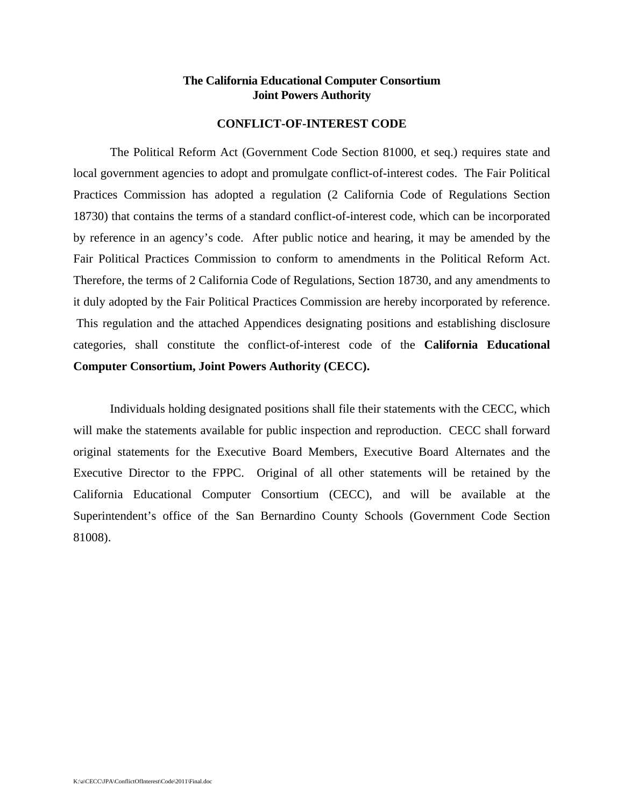## **The California Educational Computer Consortium Joint Powers Authority**

## **CONFLICT-OF-INTEREST CODE**

The Political Reform Act (Government Code Section 81000, et seq.) requires state and local government agencies to adopt and promulgate conflict-of-interest codes. The Fair Political Practices Commission has adopted a regulation (2 California Code of Regulations Section 18730) that contains the terms of a standard conflict-of-interest code, which can be incorporated by reference in an agency's code. After public notice and hearing, it may be amended by the Fair Political Practices Commission to conform to amendments in the Political Reform Act. Therefore, the terms of 2 California Code of Regulations, Section 18730, and any amendments to it duly adopted by the Fair Political Practices Commission are hereby incorporated by reference. This regulation and the attached Appendices designating positions and establishing disclosure categories, shall constitute the conflict-of-interest code of the **California Educational Computer Consortium, Joint Powers Authority (CECC).**

Individuals holding designated positions shall file their statements with the CECC, which will make the statements available for public inspection and reproduction. CECC shall forward original statements for the Executive Board Members, Executive Board Alternates and the Executive Director to the FPPC. Original of all other statements will be retained by the California Educational Computer Consortium (CECC), and will be available at the Superintendent's office of the San Bernardino County Schools (Government Code Section 81008).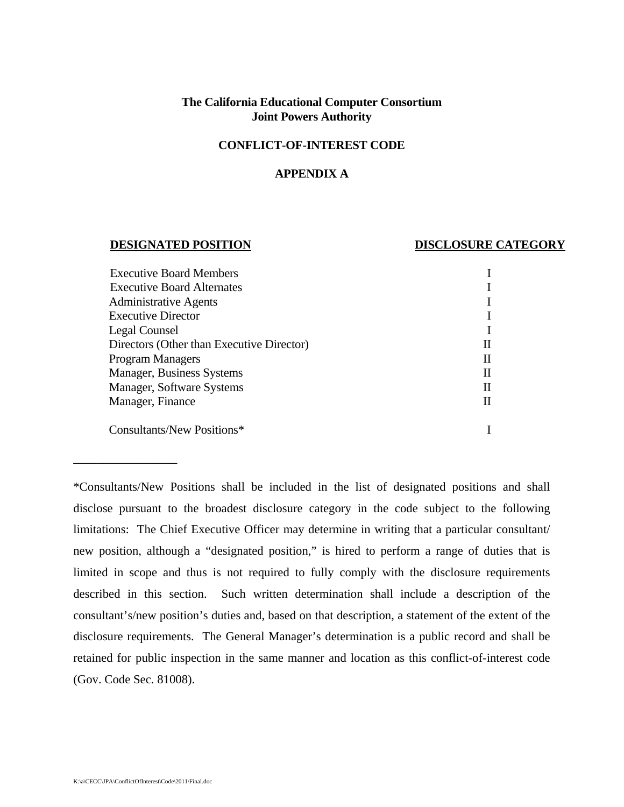# **The California Educational Computer Consortium Joint Powers Authority**

## **CONFLICT-OF-INTEREST CODE**

### **APPENDIX A**

#### **DESIGNATED POSITION DISCLOSURE CATEGORY**

| <b>Executive Board Members</b>            |   |
|-------------------------------------------|---|
| <b>Executive Board Alternates</b>         |   |
| <b>Administrative Agents</b>              |   |
| <b>Executive Director</b>                 |   |
| Legal Counsel                             |   |
| Directors (Other than Executive Director) | Н |
| <b>Program Managers</b>                   | Н |
| Manager, Business Systems                 | Н |
| Manager, Software Systems                 | Н |
| Manager, Finance                          |   |
| Consultants/New Positions*                |   |
|                                           |   |

\*Consultants/New Positions shall be included in the list of designated positions and shall disclose pursuant to the broadest disclosure category in the code subject to the following limitations: The Chief Executive Officer may determine in writing that a particular consultant/ new position, although a "designated position," is hired to perform a range of duties that is limited in scope and thus is not required to fully comply with the disclosure requirements described in this section. Such written determination shall include a description of the consultant's/new position's duties and, based on that description, a statement of the extent of the disclosure requirements. The General Manager's determination is a public record and shall be retained for public inspection in the same manner and location as this conflict-of-interest code (Gov. Code Sec. 81008).

\_\_\_\_\_\_\_\_\_\_\_\_\_\_\_\_\_